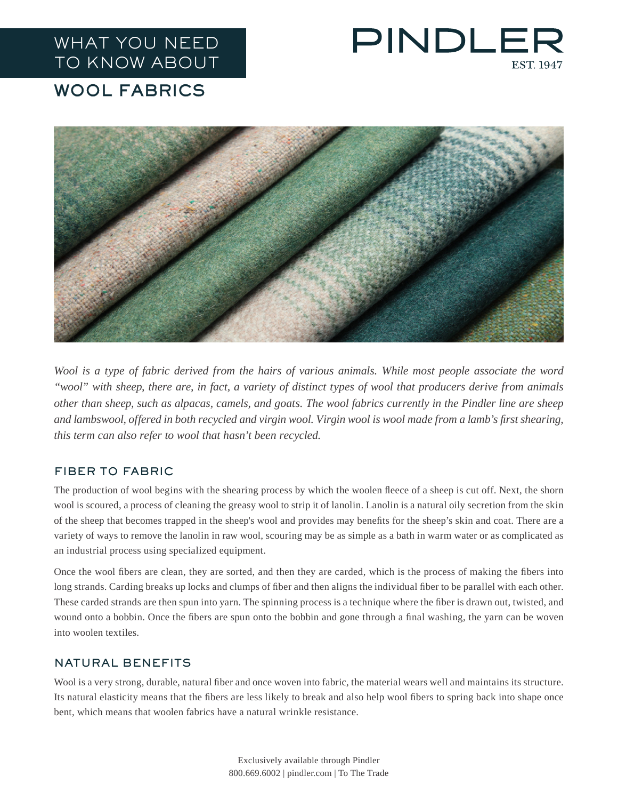## WHAT YOU NEED TO KNOW ABOUT

# PINDLEF **EST 1947**

### WOOL FABRICS



*Wool is a type of fabric derived from the hairs of various animals. While most people associate the word "wool" with sheep, there are, in fact, a variety of distinct types of wool that producers derive from animals other than sheep, such as alpacas, camels, and goats. The wool fabrics currently in the Pindler line are sheep and lambswool, offered in both recycled and virgin wool. Virgin wool is wool made from a lamb's first shearing, this term can also refer to wool that hasn't been recycled.*

#### FIBER TO FABRIC

The production of wool begins with the shearing process by which the woolen fleece of a sheep is cut off. Next, the shorn wool is scoured, a process of cleaning the greasy wool to strip it of lanolin. Lanolin is a natural oily secretion from the skin of the sheep that becomes trapped in the sheep's wool and provides may benefits for the sheep's skin and coat. There are a variety of ways to remove the lanolin in raw wool, scouring may be as simple as a bath in warm water or as complicated as an industrial process using specialized equipment.

Once the wool fibers are clean, they are sorted, and then they are carded, which is the process of making the fibers into long strands. Carding breaks up locks and clumps of fiber and then aligns the individual fiber to be parallel with each other. These carded strands are then spun into yarn. The spinning process is a technique where the fiber is drawn out, twisted, and wound onto a bobbin. Once the fibers are spun onto the bobbin and gone through a final washing, the yarn can be woven into woolen textiles.

#### NATURAL BENEFITS

Wool is a very strong, durable, natural fiber and once woven into fabric, the material wears well and maintains its structure. Its natural elasticity means that the fibers are less likely to break and also help wool fibers to spring back into shape once bent, which means that woolen fabrics have a natural wrinkle resistance.